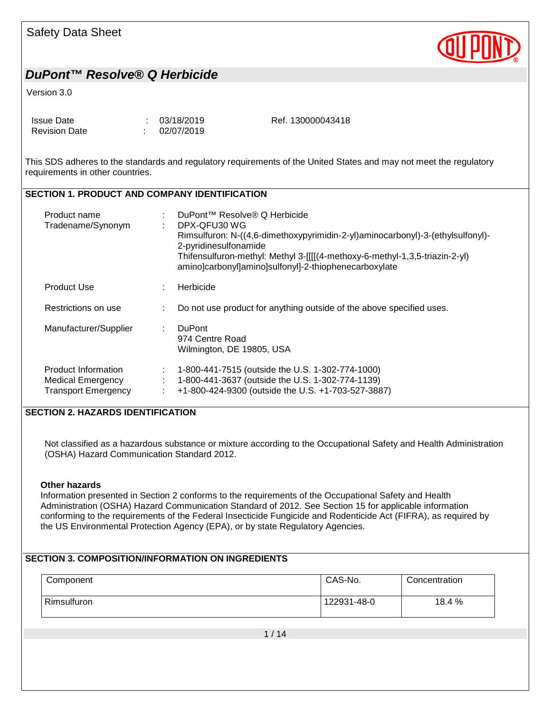

#### Version 3.0

| Issue Date           | : 03/18/2019 | Ref. 130000043418 |
|----------------------|--------------|-------------------|
| <b>Revision Date</b> | : 02/07/2019 |                   |

This SDS adheres to the standards and regulatory requirements of the United States and may not meet the regulatory requirements in other countries.

#### **SECTION 1. PRODUCT AND COMPANY IDENTIFICATION**

| Product name<br>Tradename/Synonym                                             |   | DuPont™ Resolve® Q Herbicide<br>DPX-QFU30 WG<br>Rimsulfuron: N-((4,6-dimethoxypyrimidin-2-yl)aminocarbonyl)-3-(ethylsulfonyl)-<br>2-pyridinesulfonamide<br>Thifensulfuron-methyl: Methyl 3-[[[(4-methoxy-6-methyl-1,3,5-triazin-2-yl)<br>amino]carbonyl]amino]sulfonyl]-2-thiophenecarboxylate |
|-------------------------------------------------------------------------------|---|------------------------------------------------------------------------------------------------------------------------------------------------------------------------------------------------------------------------------------------------------------------------------------------------|
| <b>Product Use</b>                                                            |   | Herbicide                                                                                                                                                                                                                                                                                      |
| Restrictions on use                                                           |   | Do not use product for anything outside of the above specified uses.                                                                                                                                                                                                                           |
| Manufacturer/Supplier                                                         | ÷ | <b>DuPont</b><br>974 Centre Road<br>Wilmington, DE 19805, USA                                                                                                                                                                                                                                  |
| Product Information<br><b>Medical Emergency</b><br><b>Transport Emergency</b> |   | 1-800-441-7515 (outside the U.S. 1-302-774-1000)<br>1-800-441-3637 (outside the U.S. 1-302-774-1139)<br>+1-800-424-9300 (outside the U.S. +1-703-527-3887)                                                                                                                                     |

#### **SECTION 2. HAZARDS IDENTIFICATION**

Not classified as a hazardous substance or mixture according to the Occupational Safety and Health Administration (OSHA) Hazard Communication Standard 2012.

#### **Other hazards**

Information presented in Section 2 conforms to the requirements of the Occupational Safety and Health Administration (OSHA) Hazard Communication Standard of 2012. See Section 15 for applicable information conforming to the requirements of the Federal Insecticide Fungicide and Rodenticide Act (FIFRA), as required by the US Environmental Protection Agency (EPA), or by state Regulatory Agencies.

#### **SECTION 3. COMPOSITION/INFORMATION ON INGREDIENTS**

| Component   | CAS-No.     | Concentration |
|-------------|-------------|---------------|
| Rimsulfuron | 122931-48-0 | 18.4 %        |

1 / 14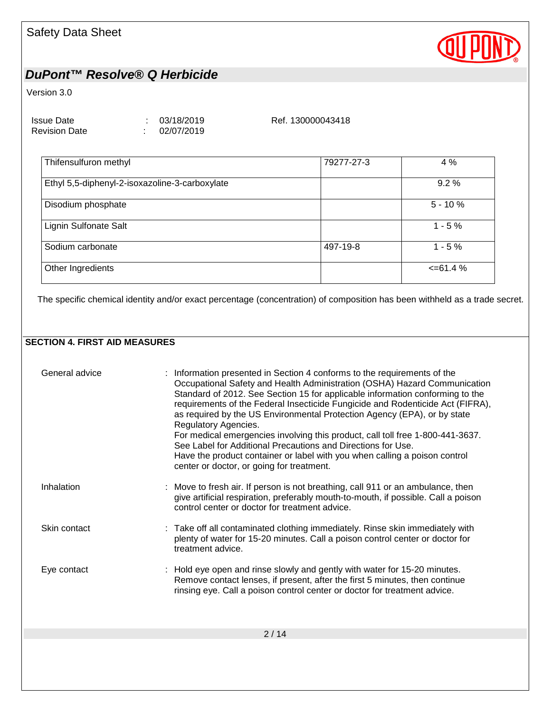

#### Version 3.0

| <b>Issue Date</b>    | : 03/18/2019 |
|----------------------|--------------|
| <b>Revision Date</b> | 02/07/2019   |

Ref. 130000043418

| Thifensulfuron methyl                          | 79277-27-3 | 4 %           |
|------------------------------------------------|------------|---------------|
| Ethyl 5,5-diphenyl-2-isoxazoline-3-carboxylate |            | $9.2\%$       |
| Disodium phosphate                             |            | $5 - 10%$     |
| Lignin Sulfonate Salt                          |            | $1 - 5%$      |
| Sodium carbonate                               | 497-19-8   | $1 - 5%$      |
| Other Ingredients                              |            | $\leq$ 61.4 % |
|                                                |            |               |

The specific chemical identity and/or exact percentage (concentration) of composition has been withheld as a trade secret.

#### **SECTION 4. FIRST AID MEASURES**

| General advice | : Information presented in Section 4 conforms to the requirements of the<br>Occupational Safety and Health Administration (OSHA) Hazard Communication<br>Standard of 2012. See Section 15 for applicable information conforming to the<br>requirements of the Federal Insecticide Fungicide and Rodenticide Act (FIFRA),<br>as required by the US Environmental Protection Agency (EPA), or by state<br>Regulatory Agencies.<br>For medical emergencies involving this product, call toll free 1-800-441-3637.<br>See Label for Additional Precautions and Directions for Use.<br>Have the product container or label with you when calling a poison control<br>center or doctor, or going for treatment. |
|----------------|-----------------------------------------------------------------------------------------------------------------------------------------------------------------------------------------------------------------------------------------------------------------------------------------------------------------------------------------------------------------------------------------------------------------------------------------------------------------------------------------------------------------------------------------------------------------------------------------------------------------------------------------------------------------------------------------------------------|
| Inhalation     | : Move to fresh air. If person is not breathing, call 911 or an ambulance, then<br>give artificial respiration, preferably mouth-to-mouth, if possible. Call a poison<br>control center or doctor for treatment advice.                                                                                                                                                                                                                                                                                                                                                                                                                                                                                   |
| Skin contact   | : Take off all contaminated clothing immediately. Rinse skin immediately with<br>plenty of water for 15-20 minutes. Call a poison control center or doctor for<br>treatment advice.                                                                                                                                                                                                                                                                                                                                                                                                                                                                                                                       |
| Eye contact    | : Hold eye open and rinse slowly and gently with water for 15-20 minutes.<br>Remove contact lenses, if present, after the first 5 minutes, then continue<br>rinsing eye. Call a poison control center or doctor for treatment advice.                                                                                                                                                                                                                                                                                                                                                                                                                                                                     |
|                | 2/14                                                                                                                                                                                                                                                                                                                                                                                                                                                                                                                                                                                                                                                                                                      |
|                |                                                                                                                                                                                                                                                                                                                                                                                                                                                                                                                                                                                                                                                                                                           |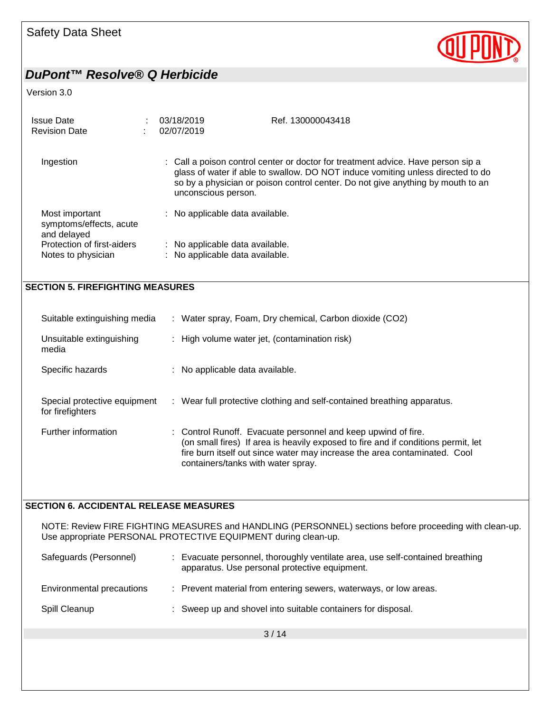

#### Version 3.0

| <b>Issue Date</b><br><b>Revision Date</b>                | 03/18/2019<br>Ref. 130000043418<br>02/07/2019                                                                                                                                                                                                                                 |  |
|----------------------------------------------------------|-------------------------------------------------------------------------------------------------------------------------------------------------------------------------------------------------------------------------------------------------------------------------------|--|
| Ingestion                                                | : Call a poison control center or doctor for treatment advice. Have person sip a<br>glass of water if able to swallow. DO NOT induce vomiting unless directed to do<br>so by a physician or poison control center. Do not give anything by mouth to an<br>unconscious person. |  |
| Most important<br>symptoms/effects, acute<br>and delayed | No applicable data available.                                                                                                                                                                                                                                                 |  |
| Protection of first-aiders<br>Notes to physician         | No applicable data available.<br>÷<br>No applicable data available.                                                                                                                                                                                                           |  |
| <b>SECTION 5. FIREFIGHTING MEASURES</b>                  |                                                                                                                                                                                                                                                                               |  |
| Suitable extinguishing media                             | : Water spray, Foam, Dry chemical, Carbon dioxide (CO2)                                                                                                                                                                                                                       |  |
| Unsuitable extinguishing<br>media                        | : High volume water jet, (contamination risk)                                                                                                                                                                                                                                 |  |
| Specific hazards                                         | : No applicable data available.                                                                                                                                                                                                                                               |  |
| Special protective equipment<br>for firefighters         | : Wear full protective clothing and self-contained breathing apparatus.                                                                                                                                                                                                       |  |

Further information : Control Runoff. Evacuate personnel and keep upwind of fire. (on small fires) If area is heavily exposed to fire and if conditions permit, let fire burn itself out since water may increase the area contaminated. Cool containers/tanks with water spray.

#### **SECTION 6. ACCIDENTAL RELEASE MEASURES**

NOTE: Review FIRE FIGHTING MEASURES and HANDLING (PERSONNEL) sections before proceeding with clean-up. Use appropriate PERSONAL PROTECTIVE EQUIPMENT during clean-up.

| Safeguards (Personnel)    | Evacuate personnel, thoroughly ventilate area, use self-contained breathing<br>apparatus. Use personal protective equipment. |
|---------------------------|------------------------------------------------------------------------------------------------------------------------------|
| Environmental precautions | : Prevent material from entering sewers, waterways, or low areas.                                                            |
| Spill Cleanup             | : Sweep up and shovel into suitable containers for disposal.                                                                 |

3 / 14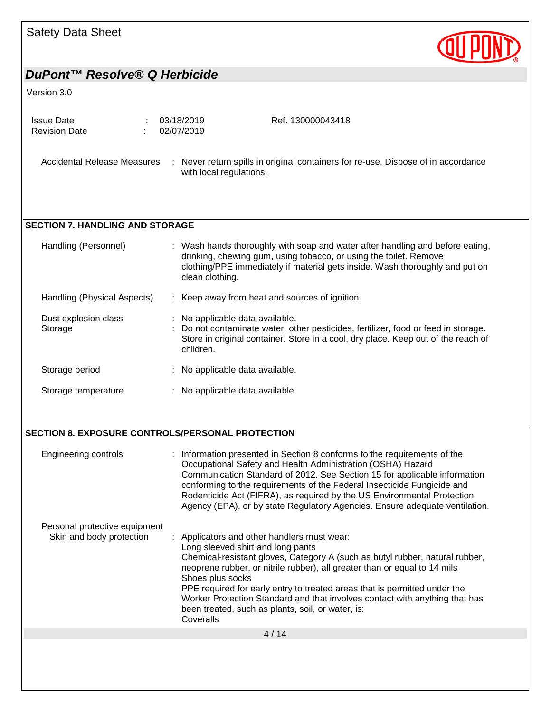| <b>Safety Data Sheet</b>                                  |                                                                                                                                                                                                                                                                                                                                                                                                                                                                                                       |
|-----------------------------------------------------------|-------------------------------------------------------------------------------------------------------------------------------------------------------------------------------------------------------------------------------------------------------------------------------------------------------------------------------------------------------------------------------------------------------------------------------------------------------------------------------------------------------|
| DuPont™ Resolve® Q Herbicide                              |                                                                                                                                                                                                                                                                                                                                                                                                                                                                                                       |
| Version 3.0                                               |                                                                                                                                                                                                                                                                                                                                                                                                                                                                                                       |
| <b>Issue Date</b><br><b>Revision Date</b>                 | 03/18/2019<br>Ref. 130000043418<br>02/07/2019                                                                                                                                                                                                                                                                                                                                                                                                                                                         |
| <b>Accidental Release Measures</b>                        | : Never return spills in original containers for re-use. Dispose of in accordance<br>with local regulations.                                                                                                                                                                                                                                                                                                                                                                                          |
| <b>SECTION 7. HANDLING AND STORAGE</b>                    |                                                                                                                                                                                                                                                                                                                                                                                                                                                                                                       |
| Handling (Personnel)                                      | : Wash hands thoroughly with soap and water after handling and before eating,<br>drinking, chewing gum, using tobacco, or using the toilet. Remove<br>clothing/PPE immediately if material gets inside. Wash thoroughly and put on<br>clean clothing.                                                                                                                                                                                                                                                 |
| Handling (Physical Aspects)                               | : Keep away from heat and sources of ignition.                                                                                                                                                                                                                                                                                                                                                                                                                                                        |
| Dust explosion class<br>Storage                           | No applicable data available.<br>Do not contaminate water, other pesticides, fertilizer, food or feed in storage.<br>Store in original container. Store in a cool, dry place. Keep out of the reach of<br>children.                                                                                                                                                                                                                                                                                   |
| Storage period                                            | No applicable data available.                                                                                                                                                                                                                                                                                                                                                                                                                                                                         |
| Storage temperature                                       | : No applicable data available.                                                                                                                                                                                                                                                                                                                                                                                                                                                                       |
| SECTION 8. EXPOSURE CONTROLS/PERSONAL PROTECTION          |                                                                                                                                                                                                                                                                                                                                                                                                                                                                                                       |
| <b>Engineering controls</b>                               | : Information presented in Section 8 conforms to the requirements of the<br>Occupational Safety and Health Administration (OSHA) Hazard<br>Communication Standard of 2012. See Section 15 for applicable information<br>conforming to the requirements of the Federal Insecticide Fungicide and<br>Rodenticide Act (FIFRA), as required by the US Environmental Protection<br>Agency (EPA), or by state Regulatory Agencies. Ensure adequate ventilation.                                             |
| Personal protective equipment<br>Skin and body protection | Applicators and other handlers must wear:<br>Long sleeved shirt and long pants<br>Chemical-resistant gloves, Category A (such as butyl rubber, natural rubber,<br>neoprene rubber, or nitrile rubber), all greater than or equal to 14 mils<br>Shoes plus socks<br>PPE required for early entry to treated areas that is permitted under the<br>Worker Protection Standard and that involves contact with anything that has<br>been treated, such as plants, soil, or water, is:<br>Coveralls<br>4/14 |
|                                                           |                                                                                                                                                                                                                                                                                                                                                                                                                                                                                                       |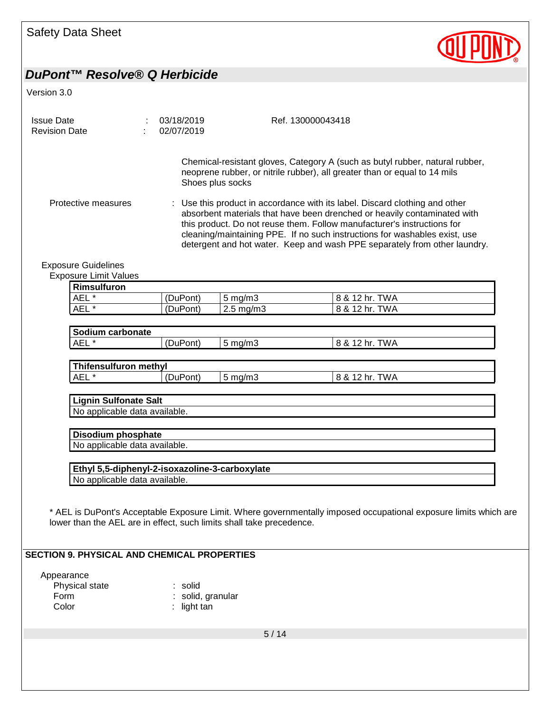

Version 3.0

| <b>Issue Date</b><br><b>Revision Date</b> |                               |  | 03/18/2019<br>02/07/2019 |                    | Ref. 130000043418                                                                                                                                                                                                                                                                                                                                                                                                                                                                                                                                          |  |
|-------------------------------------------|-------------------------------|--|--------------------------|--------------------|------------------------------------------------------------------------------------------------------------------------------------------------------------------------------------------------------------------------------------------------------------------------------------------------------------------------------------------------------------------------------------------------------------------------------------------------------------------------------------------------------------------------------------------------------------|--|
|                                           | Protective measures           |  |                          | Shoes plus socks   | Chemical-resistant gloves, Category A (such as butyl rubber, natural rubber,<br>neoprene rubber, or nitrile rubber), all greater than or equal to 14 mils<br>: Use this product in accordance with its label. Discard clothing and other<br>absorbent materials that have been drenched or heavily contaminated with<br>this product. Do not reuse them. Follow manufacturer's instructions for<br>cleaning/maintaining PPE. If no such instructions for washables exist, use<br>detergent and hot water. Keep and wash PPE separately from other laundry. |  |
|                                           | <b>Exposure Guidelines</b>    |  |                          |                    |                                                                                                                                                                                                                                                                                                                                                                                                                                                                                                                                                            |  |
|                                           | <b>Exposure Limit Values</b>  |  |                          |                    |                                                                                                                                                                                                                                                                                                                                                                                                                                                                                                                                                            |  |
|                                           | <b>Rimsulfuron</b>            |  |                          |                    |                                                                                                                                                                                                                                                                                                                                                                                                                                                                                                                                                            |  |
|                                           | AEL <sup>*</sup>              |  | (DuPont)                 | $5 \text{ mg/m}$ 3 | 8 & 12 hr. TWA                                                                                                                                                                                                                                                                                                                                                                                                                                                                                                                                             |  |
|                                           | AEL*                          |  | (DuPont)                 | 2.5 mg/m3          | 8 & 12 hr. TWA                                                                                                                                                                                                                                                                                                                                                                                                                                                                                                                                             |  |
|                                           |                               |  |                          |                    |                                                                                                                                                                                                                                                                                                                                                                                                                                                                                                                                                            |  |
|                                           | Sodium carbonate              |  |                          |                    |                                                                                                                                                                                                                                                                                                                                                                                                                                                                                                                                                            |  |
|                                           | AEL*                          |  | (DuPont)                 | $5$ mg/m $3$       | 8 & 12 hr. TWA                                                                                                                                                                                                                                                                                                                                                                                                                                                                                                                                             |  |
|                                           |                               |  |                          |                    |                                                                                                                                                                                                                                                                                                                                                                                                                                                                                                                                                            |  |
|                                           | <b>Thifensulfuron methyl</b>  |  |                          |                    |                                                                                                                                                                                                                                                                                                                                                                                                                                                                                                                                                            |  |
|                                           | AEL*                          |  | (DuPont)                 | $5 \text{ mg/m}$ 3 | 8 & 12 hr. TWA                                                                                                                                                                                                                                                                                                                                                                                                                                                                                                                                             |  |
|                                           |                               |  |                          |                    |                                                                                                                                                                                                                                                                                                                                                                                                                                                                                                                                                            |  |
|                                           | <b>Lignin Sulfonate Salt</b>  |  |                          |                    |                                                                                                                                                                                                                                                                                                                                                                                                                                                                                                                                                            |  |
|                                           | No applicable data available. |  |                          |                    |                                                                                                                                                                                                                                                                                                                                                                                                                                                                                                                                                            |  |
|                                           |                               |  |                          |                    |                                                                                                                                                                                                                                                                                                                                                                                                                                                                                                                                                            |  |
|                                           | Disodium phosphate            |  |                          |                    |                                                                                                                                                                                                                                                                                                                                                                                                                                                                                                                                                            |  |

No applicable data available.

**Ethyl 5,5-diphenyl-2-isoxazoline-3-carboxylate** No applicable data available.

\* AEL is DuPont's Acceptable Exposure Limit. Where governmentally imposed occupational exposure limits which are lower than the AEL are in effect, such limits shall take precedence.

#### **SECTION 9. PHYSICAL AND CHEMICAL PROPERTIES**

Appearance Physical state : solid Form : solid, granular<br>
Color : light tan : light tan

5 / 14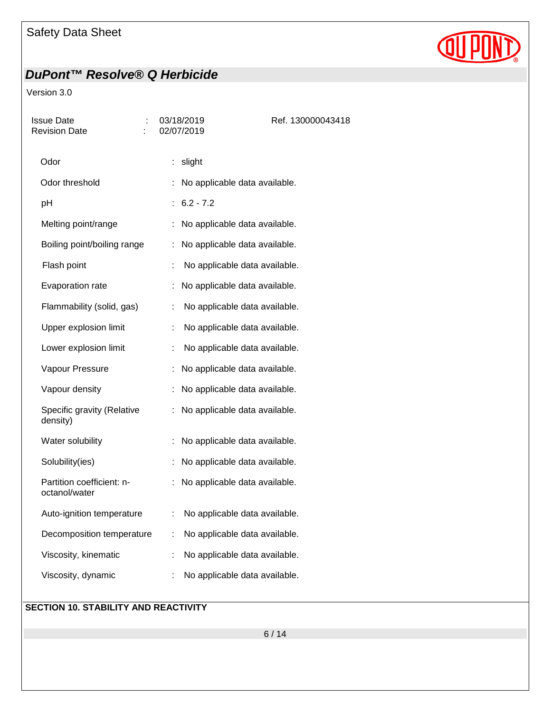# **QUPD**

## *DuPont™ Resolve® Q Herbicide*

#### Version 3.0

| Issue Date<br><b>Revision Date</b>         | 03/18/2019<br>02/07/2019            | Ref. 130000043418 |
|--------------------------------------------|-------------------------------------|-------------------|
| Odor                                       | : slight                            |                   |
| Odor threshold                             | No applicable data available.       |                   |
| pH                                         | $6.2 - 7.2$                         |                   |
| Melting point/range                        | No applicable data available.<br>÷. |                   |
| Boiling point/boiling range                | No applicable data available.<br>t. |                   |
| Flash point                                | No applicable data available.       |                   |
| Evaporation rate                           | No applicable data available.       |                   |
| Flammability (solid, gas)                  | No applicable data available.       |                   |
| Upper explosion limit                      | No applicable data available.       |                   |
| Lower explosion limit                      | No applicable data available.<br>÷  |                   |
| Vapour Pressure                            | No applicable data available.       |                   |
| Vapour density                             | No applicable data available.       |                   |
| Specific gravity (Relative<br>density)     | No applicable data available.<br>t. |                   |
| Water solubility                           | No applicable data available.       |                   |
| Solubility(ies)                            | No applicable data available.       |                   |
| Partition coefficient: n-<br>octanol/water | No applicable data available.<br>÷. |                   |
| Auto-ignition temperature                  | No applicable data available.       |                   |
| Decomposition temperature                  | No applicable data available.       |                   |
| Viscosity, kinematic                       | No applicable data available.       |                   |
| Viscosity, dynamic                         | No applicable data available.       |                   |
|                                            |                                     |                   |

#### **SECTION 10. STABILITY AND REACTIVITY**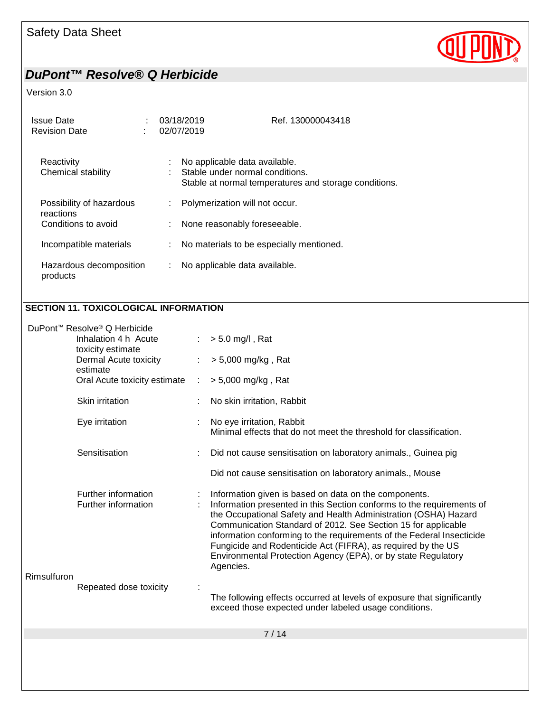

#### Version 3.0

| Issue Date<br><b>Revision Date</b>  | ÷ | 03/18/2019<br>02/07/2019 | Ref. 130000043418                                                                                                         |
|-------------------------------------|---|--------------------------|---------------------------------------------------------------------------------------------------------------------------|
| Reactivity<br>Chemical stability    |   | ÷<br>٠                   | No applicable data available.<br>Stable under normal conditions.<br>Stable at normal temperatures and storage conditions. |
| Possibility of hazardous            |   |                          | Polymerization will not occur.                                                                                            |
| reactions<br>Conditions to avoid    |   |                          | : None reasonably foreseeable.                                                                                            |
| Incompatible materials              |   | ÷.                       | No materials to be especially mentioned.                                                                                  |
| Hazardous decomposition<br>products |   | ÷.                       | No applicable data available.                                                                                             |

#### **SECTION 11. TOXICOLOGICAL INFORMATION**

|             | DuPont™ Resolve® Q Herbicide               |   |                                                                                                                                                                                                                                                                                                                                                                                                                                                                                           |
|-------------|--------------------------------------------|---|-------------------------------------------------------------------------------------------------------------------------------------------------------------------------------------------------------------------------------------------------------------------------------------------------------------------------------------------------------------------------------------------------------------------------------------------------------------------------------------------|
|             | Inhalation 4 h Acute<br>toxicity estimate  |   | $> 5.0$ mg/l, Rat                                                                                                                                                                                                                                                                                                                                                                                                                                                                         |
|             | Dermal Acute toxicity<br>estimate          |   | > 5,000 mg/kg, Rat                                                                                                                                                                                                                                                                                                                                                                                                                                                                        |
|             | Oral Acute toxicity estimate               | ÷ | $> 5,000$ mg/kg, Rat                                                                                                                                                                                                                                                                                                                                                                                                                                                                      |
|             | Skin irritation                            |   | No skin irritation, Rabbit                                                                                                                                                                                                                                                                                                                                                                                                                                                                |
|             | Eye irritation                             |   | No eye irritation, Rabbit<br>Minimal effects that do not meet the threshold for classification.                                                                                                                                                                                                                                                                                                                                                                                           |
|             | Sensitisation                              |   | Did not cause sensitisation on laboratory animals., Guinea pig                                                                                                                                                                                                                                                                                                                                                                                                                            |
|             |                                            |   | Did not cause sensitisation on laboratory animals., Mouse                                                                                                                                                                                                                                                                                                                                                                                                                                 |
| Rimsulfuron | Further information<br>Further information |   | Information given is based on data on the components.<br>Information presented in this Section conforms to the requirements of<br>the Occupational Safety and Health Administration (OSHA) Hazard<br>Communication Standard of 2012. See Section 15 for applicable<br>information conforming to the requirements of the Federal Insecticide<br>Fungicide and Rodenticide Act (FIFRA), as required by the US<br>Environmental Protection Agency (EPA), or by state Regulatory<br>Agencies. |
|             | Repeated dose toxicity                     |   | The following effects occurred at levels of exposure that significantly<br>exceed those expected under labeled usage conditions.                                                                                                                                                                                                                                                                                                                                                          |
|             |                                            |   | 7/14                                                                                                                                                                                                                                                                                                                                                                                                                                                                                      |
|             |                                            |   |                                                                                                                                                                                                                                                                                                                                                                                                                                                                                           |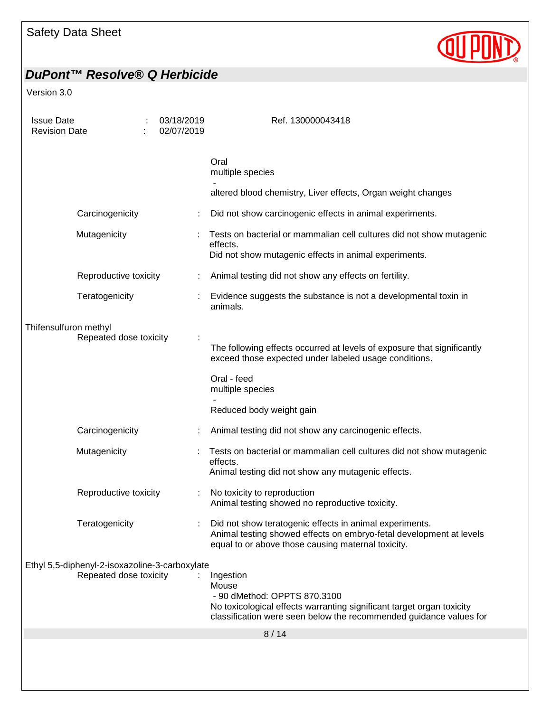

| <b>Issue Date</b><br><b>Revision Date</b>                                |                       |                                                                                                                                                                                                   | 03/18/2019<br>02/07/2019        | Ref. 130000043418                                                                                                                                                                    |
|--------------------------------------------------------------------------|-----------------------|---------------------------------------------------------------------------------------------------------------------------------------------------------------------------------------------------|---------------------------------|--------------------------------------------------------------------------------------------------------------------------------------------------------------------------------------|
|                                                                          |                       |                                                                                                                                                                                                   |                                 | Oral<br>multiple species                                                                                                                                                             |
|                                                                          |                       |                                                                                                                                                                                                   |                                 | altered blood chemistry, Liver effects, Organ weight changes                                                                                                                         |
|                                                                          | Carcinogenicity       |                                                                                                                                                                                                   |                                 | Did not show carcinogenic effects in animal experiments.                                                                                                                             |
|                                                                          | Mutagenicity          |                                                                                                                                                                                                   |                                 | Tests on bacterial or mammalian cell cultures did not show mutagenic<br>effects.<br>Did not show mutagenic effects in animal experiments.                                            |
|                                                                          | Reproductive toxicity |                                                                                                                                                                                                   |                                 | Animal testing did not show any effects on fertility.                                                                                                                                |
|                                                                          | Teratogenicity        |                                                                                                                                                                                                   |                                 | Evidence suggests the substance is not a developmental toxin in<br>animals.                                                                                                          |
| Thifensulfuron methyl<br>Repeated dose toxicity                          |                       | The following effects occurred at levels of exposure that significantly<br>exceed those expected under labeled usage conditions.                                                                  |                                 |                                                                                                                                                                                      |
|                                                                          |                       |                                                                                                                                                                                                   | Oral - feed<br>multiple species |                                                                                                                                                                                      |
|                                                                          |                       |                                                                                                                                                                                                   |                                 | Reduced body weight gain                                                                                                                                                             |
|                                                                          | Carcinogenicity       |                                                                                                                                                                                                   |                                 | Animal testing did not show any carcinogenic effects.                                                                                                                                |
|                                                                          | Mutagenicity          |                                                                                                                                                                                                   |                                 | Tests on bacterial or mammalian cell cultures did not show mutagenic<br>effects.<br>Animal testing did not show any mutagenic effects.                                               |
|                                                                          | Reproductive toxicity |                                                                                                                                                                                                   |                                 | No toxicity to reproduction<br>Animal testing showed no reproductive toxicity.                                                                                                       |
|                                                                          | Teratogenicity        |                                                                                                                                                                                                   |                                 | Did not show teratogenic effects in animal experiments.<br>Animal testing showed effects on embryo-fetal development at levels<br>equal to or above those causing maternal toxicity. |
| Ethyl 5,5-diphenyl-2-isoxazoline-3-carboxylate<br>Repeated dose toxicity |                       | Ingestion<br>Mouse<br>- 90 dMethod: OPPTS 870.3100<br>No toxicological effects warranting significant target organ toxicity<br>classification were seen below the recommended guidance values for |                                 |                                                                                                                                                                                      |
|                                                                          |                       |                                                                                                                                                                                                   |                                 | 8/14                                                                                                                                                                                 |
|                                                                          |                       |                                                                                                                                                                                                   |                                 |                                                                                                                                                                                      |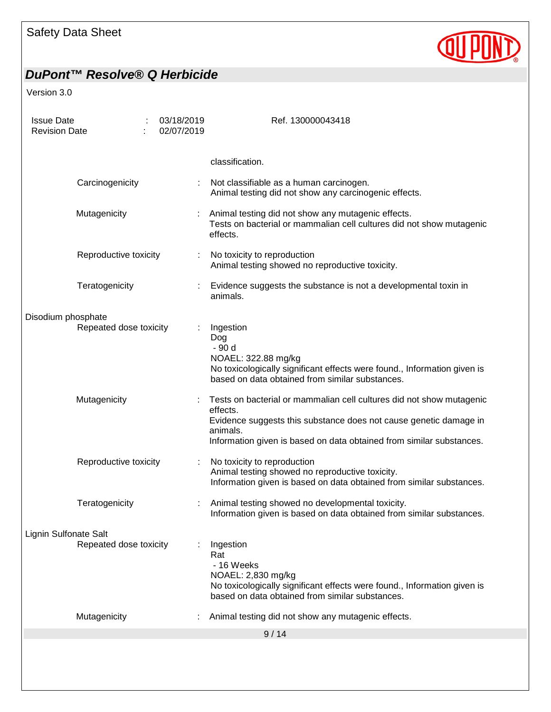

| <b>Issue Date</b><br><b>Revision Date</b>    |                        |  | 03/18/2019<br>02/07/2019                                                                                                                                                         | Ref. 130000043418                                                                                                                                                                                                                         |
|----------------------------------------------|------------------------|--|----------------------------------------------------------------------------------------------------------------------------------------------------------------------------------|-------------------------------------------------------------------------------------------------------------------------------------------------------------------------------------------------------------------------------------------|
|                                              |                        |  |                                                                                                                                                                                  | classification.                                                                                                                                                                                                                           |
|                                              | Carcinogenicity        |  |                                                                                                                                                                                  | Not classifiable as a human carcinogen.<br>Animal testing did not show any carcinogenic effects.                                                                                                                                          |
|                                              | Mutagenicity           |  |                                                                                                                                                                                  | Animal testing did not show any mutagenic effects.<br>Tests on bacterial or mammalian cell cultures did not show mutagenic<br>effects.                                                                                                    |
| Reproductive toxicity                        |                        |  | No toxicity to reproduction<br>Animal testing showed no reproductive toxicity.                                                                                                   |                                                                                                                                                                                                                                           |
|                                              | Teratogenicity         |  |                                                                                                                                                                                  | Evidence suggests the substance is not a developmental toxin in<br>animals.                                                                                                                                                               |
| Disodium phosphate<br>Repeated dose toxicity |                        |  | Ingestion<br>Dog<br>- 90 d<br>NOAEL: 322.88 mg/kg<br>No toxicologically significant effects were found., Information given is<br>based on data obtained from similar substances. |                                                                                                                                                                                                                                           |
|                                              | Mutagenicity           |  |                                                                                                                                                                                  | Tests on bacterial or mammalian cell cultures did not show mutagenic<br>effects.<br>Evidence suggests this substance does not cause genetic damage in<br>animals.<br>Information given is based on data obtained from similar substances. |
|                                              | Reproductive toxicity  |  |                                                                                                                                                                                  | No toxicity to reproduction<br>Animal testing showed no reproductive toxicity.<br>Information given is based on data obtained from similar substances.                                                                                    |
|                                              | Teratogenicity         |  |                                                                                                                                                                                  | Animal testing showed no developmental toxicity.<br>Information given is based on data obtained from similar substances                                                                                                                   |
| Lignin Sulfonate Salt                        | Repeated dose toxicity |  |                                                                                                                                                                                  | Ingestion<br>Rat<br>- 16 Weeks<br>NOAEL: 2,830 mg/kg<br>No toxicologically significant effects were found., Information given is<br>based on data obtained from similar substances.                                                       |
|                                              | Mutagenicity           |  |                                                                                                                                                                                  | Animal testing did not show any mutagenic effects.                                                                                                                                                                                        |
|                                              |                        |  |                                                                                                                                                                                  | 9/14                                                                                                                                                                                                                                      |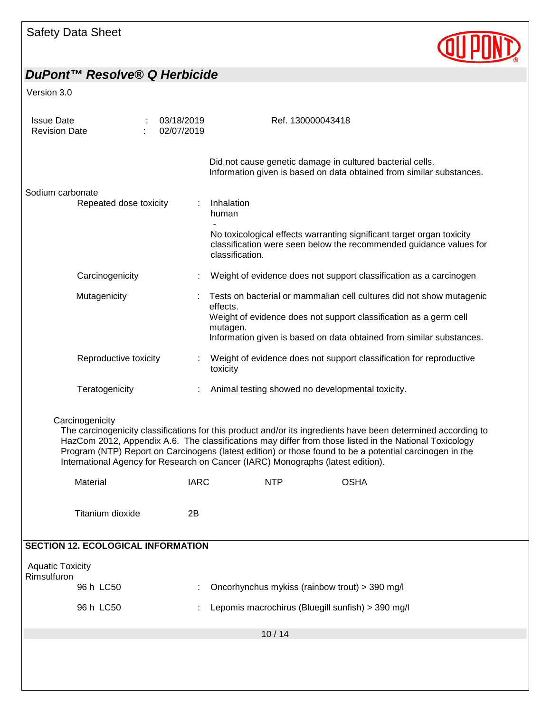| <b>Safety Data Sheet</b> |  |  |
|--------------------------|--|--|
|--------------------------|--|--|



| <b>Issue Date</b><br><b>Revision Date</b>                                                                                                                                                                                                                                                                                                                                                                                                | 03/18/2019<br>02/07/2019 | Ref. 130000043418                                                                                                                                              |  |  |  |  |  |
|------------------------------------------------------------------------------------------------------------------------------------------------------------------------------------------------------------------------------------------------------------------------------------------------------------------------------------------------------------------------------------------------------------------------------------------|--------------------------|----------------------------------------------------------------------------------------------------------------------------------------------------------------|--|--|--|--|--|
|                                                                                                                                                                                                                                                                                                                                                                                                                                          |                          | Did not cause genetic damage in cultured bacterial cells.<br>Information given is based on data obtained from similar substances.                              |  |  |  |  |  |
| Sodium carbonate<br>Repeated dose toxicity                                                                                                                                                                                                                                                                                                                                                                                               |                          | Inhalation<br>human                                                                                                                                            |  |  |  |  |  |
|                                                                                                                                                                                                                                                                                                                                                                                                                                          |                          | No toxicological effects warranting significant target organ toxicity<br>classification were seen below the recommended guidance values for<br>classification. |  |  |  |  |  |
| Carcinogenicity                                                                                                                                                                                                                                                                                                                                                                                                                          |                          | Weight of evidence does not support classification as a carcinogen                                                                                             |  |  |  |  |  |
| Mutagenicity                                                                                                                                                                                                                                                                                                                                                                                                                             |                          | Tests on bacterial or mammalian cell cultures did not show mutagenic<br>effects.                                                                               |  |  |  |  |  |
|                                                                                                                                                                                                                                                                                                                                                                                                                                          |                          | Weight of evidence does not support classification as a germ cell<br>mutagen.                                                                                  |  |  |  |  |  |
|                                                                                                                                                                                                                                                                                                                                                                                                                                          |                          | Information given is based on data obtained from similar substances.                                                                                           |  |  |  |  |  |
| Reproductive toxicity                                                                                                                                                                                                                                                                                                                                                                                                                    |                          | Weight of evidence does not support classification for reproductive<br>toxicity                                                                                |  |  |  |  |  |
| Teratogenicity                                                                                                                                                                                                                                                                                                                                                                                                                           |                          | Animal testing showed no developmental toxicity.                                                                                                               |  |  |  |  |  |
| Carcinogenicity<br>The carcinogenicity classifications for this product and/or its ingredients have been determined according to<br>HazCom 2012, Appendix A.6. The classifications may differ from those listed in the National Toxicology<br>Program (NTP) Report on Carcinogens (latest edition) or those found to be a potential carcinogen in the<br>International Agency for Research on Cancer (IARC) Monographs (latest edition). |                          |                                                                                                                                                                |  |  |  |  |  |
| Material                                                                                                                                                                                                                                                                                                                                                                                                                                 | <b>IARC</b>              | <b>OSHA</b><br><b>NTP</b>                                                                                                                                      |  |  |  |  |  |
| Titanium dioxide                                                                                                                                                                                                                                                                                                                                                                                                                         | 2B                       |                                                                                                                                                                |  |  |  |  |  |
| <b>SECTION 12. ECOLOGICAL INFORMATION</b>                                                                                                                                                                                                                                                                                                                                                                                                |                          |                                                                                                                                                                |  |  |  |  |  |
| <b>Aquatic Toxicity</b><br>Rimsulfuron                                                                                                                                                                                                                                                                                                                                                                                                   |                          |                                                                                                                                                                |  |  |  |  |  |
| 96 h LC50                                                                                                                                                                                                                                                                                                                                                                                                                                |                          | Oncorhynchus mykiss (rainbow trout) > 390 mg/l                                                                                                                 |  |  |  |  |  |
| 96 h LC50                                                                                                                                                                                                                                                                                                                                                                                                                                |                          | Lepomis macrochirus (Bluegill sunfish) > 390 mg/l                                                                                                              |  |  |  |  |  |
|                                                                                                                                                                                                                                                                                                                                                                                                                                          |                          | 10/14                                                                                                                                                          |  |  |  |  |  |
|                                                                                                                                                                                                                                                                                                                                                                                                                                          |                          |                                                                                                                                                                |  |  |  |  |  |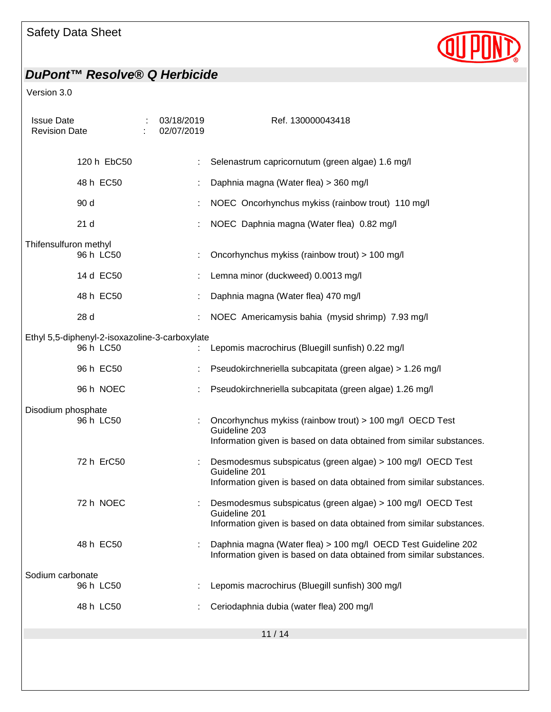

| <b>Issue Date</b><br><b>Revision Date</b>                   |  | 03/18/2019<br>02/07/2019 | Ref. 130000043418                                                                                                                                   |  |  |  |
|-------------------------------------------------------------|--|--------------------------|-----------------------------------------------------------------------------------------------------------------------------------------------------|--|--|--|
| 120 h EbC50                                                 |  |                          | Selenastrum capricornutum (green algae) 1.6 mg/l                                                                                                    |  |  |  |
| 48 h EC50                                                   |  |                          | Daphnia magna (Water flea) > 360 mg/l                                                                                                               |  |  |  |
| 90 d                                                        |  |                          | NOEC Oncorhynchus mykiss (rainbow trout) 110 mg/l                                                                                                   |  |  |  |
| 21 <sub>d</sub>                                             |  |                          | NOEC Daphnia magna (Water flea) 0.82 mg/l                                                                                                           |  |  |  |
| Thifensulfuron methyl<br>96 h LC50                          |  |                          | Oncorhynchus mykiss (rainbow trout) > 100 mg/l                                                                                                      |  |  |  |
| 14 d EC50                                                   |  |                          | Lemna minor (duckweed) 0.0013 mg/l                                                                                                                  |  |  |  |
| 48 h EC50                                                   |  |                          | Daphnia magna (Water flea) 470 mg/l                                                                                                                 |  |  |  |
| 28 d                                                        |  |                          | NOEC Americamysis bahia (mysid shrimp) 7.93 mg/l                                                                                                    |  |  |  |
| Ethyl 5,5-diphenyl-2-isoxazoline-3-carboxylate<br>96 h LC50 |  |                          | Lepomis macrochirus (Bluegill sunfish) 0.22 mg/l                                                                                                    |  |  |  |
| 96 h EC50                                                   |  |                          | Pseudokirchneriella subcapitata (green algae) > 1.26 mg/l                                                                                           |  |  |  |
| 96 h NOEC                                                   |  |                          | Pseudokirchneriella subcapitata (green algae) 1.26 mg/l                                                                                             |  |  |  |
| Disodium phosphate<br>96 h LC50                             |  |                          | Oncorhynchus mykiss (rainbow trout) > 100 mg/l OECD Test<br>Guideline 203<br>Information given is based on data obtained from similar substances.   |  |  |  |
| 72 h ErC50                                                  |  |                          | Desmodesmus subspicatus (green algae) > 100 mg/l OECD Test<br>Guideline 201<br>Information given is based on data obtained from similar substances. |  |  |  |
| 72 h NOEC                                                   |  |                          | Desmodesmus subspicatus (green algae) > 100 mg/l OECD Test<br>Guideline 201<br>Information given is based on data obtained from similar substances. |  |  |  |
| 48 h EC50                                                   |  |                          | Daphnia magna (Water flea) > 100 mg/l OECD Test Guideline 202<br>Information given is based on data obtained from similar substances.               |  |  |  |
| Sodium carbonate<br>96 h LC50                               |  |                          | Lepomis macrochirus (Bluegill sunfish) 300 mg/l                                                                                                     |  |  |  |
| 48 h LC50                                                   |  |                          | Ceriodaphnia dubia (water flea) 200 mg/l                                                                                                            |  |  |  |
|                                                             |  |                          |                                                                                                                                                     |  |  |  |
| 11/14                                                       |  |                          |                                                                                                                                                     |  |  |  |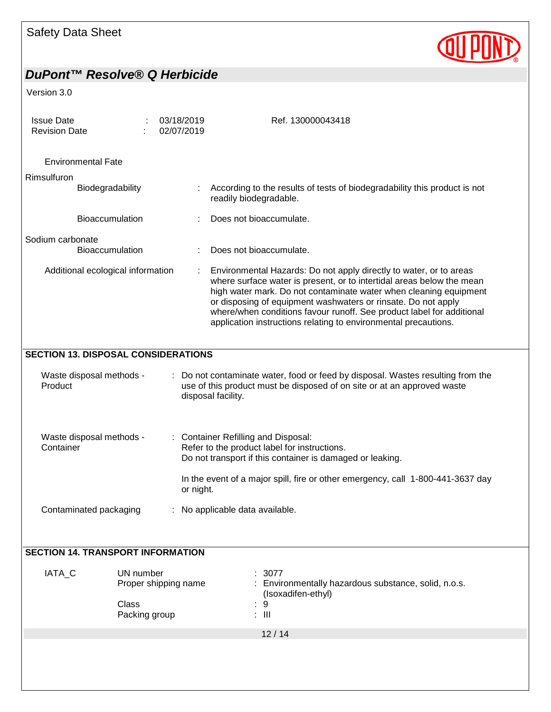

| <b>Issue Date</b><br><b>Revision Date</b>                                                                                                                                                                               |                                                                                                                                                                                                                                                                                                                                                                                                                               |  | 03/18/2019<br>02/07/2019 | Ref. 130000043418                                                                                                                                                                                                                                |  |  |  |  |
|-------------------------------------------------------------------------------------------------------------------------------------------------------------------------------------------------------------------------|-------------------------------------------------------------------------------------------------------------------------------------------------------------------------------------------------------------------------------------------------------------------------------------------------------------------------------------------------------------------------------------------------------------------------------|--|--------------------------|--------------------------------------------------------------------------------------------------------------------------------------------------------------------------------------------------------------------------------------------------|--|--|--|--|
| <b>Environmental Fate</b>                                                                                                                                                                                               |                                                                                                                                                                                                                                                                                                                                                                                                                               |  |                          |                                                                                                                                                                                                                                                  |  |  |  |  |
| Rimsulfuron                                                                                                                                                                                                             |                                                                                                                                                                                                                                                                                                                                                                                                                               |  |                          |                                                                                                                                                                                                                                                  |  |  |  |  |
| Biodegradability                                                                                                                                                                                                        |                                                                                                                                                                                                                                                                                                                                                                                                                               |  |                          | According to the results of tests of biodegradability this product is not<br>readily biodegradable.                                                                                                                                              |  |  |  |  |
| <b>Bioaccumulation</b>                                                                                                                                                                                                  |                                                                                                                                                                                                                                                                                                                                                                                                                               |  |                          | Does not bioaccumulate.                                                                                                                                                                                                                          |  |  |  |  |
| Sodium carbonate                                                                                                                                                                                                        |                                                                                                                                                                                                                                                                                                                                                                                                                               |  |                          |                                                                                                                                                                                                                                                  |  |  |  |  |
| Bioaccumulation                                                                                                                                                                                                         |                                                                                                                                                                                                                                                                                                                                                                                                                               |  |                          | Does not bioaccumulate.                                                                                                                                                                                                                          |  |  |  |  |
| Additional ecological information                                                                                                                                                                                       | Environmental Hazards: Do not apply directly to water, or to areas<br>where surface water is present, or to intertidal areas below the mean<br>high water mark. Do not contaminate water when cleaning equipment<br>or disposing of equipment washwaters or rinsate. Do not apply<br>where/when conditions favour runoff. See product label for additional<br>application instructions relating to environmental precautions. |  |                          |                                                                                                                                                                                                                                                  |  |  |  |  |
| <b>SECTION 13. DISPOSAL CONSIDERATIONS</b>                                                                                                                                                                              |                                                                                                                                                                                                                                                                                                                                                                                                                               |  |                          |                                                                                                                                                                                                                                                  |  |  |  |  |
| Waste disposal methods -<br>: Do not contaminate water, food or feed by disposal. Wastes resulting from the<br>use of this product must be disposed of on site or at an approved waste<br>Product<br>disposal facility. |                                                                                                                                                                                                                                                                                                                                                                                                                               |  |                          |                                                                                                                                                                                                                                                  |  |  |  |  |
| Waste disposal methods -<br>Container                                                                                                                                                                                   |                                                                                                                                                                                                                                                                                                                                                                                                                               |  |                          | : Container Refilling and Disposal:<br>Refer to the product label for instructions.<br>Do not transport if this container is damaged or leaking.<br>In the event of a major spill, fire or other emergency, call 1-800-441-3637 day<br>or night. |  |  |  |  |
|                                                                                                                                                                                                                         | Contaminated packaging<br>: No applicable data available.                                                                                                                                                                                                                                                                                                                                                                     |  |                          |                                                                                                                                                                                                                                                  |  |  |  |  |
| <b>SECTION 14. TRANSPORT INFORMATION</b>                                                                                                                                                                                |                                                                                                                                                                                                                                                                                                                                                                                                                               |  |                          |                                                                                                                                                                                                                                                  |  |  |  |  |
| IATA_C                                                                                                                                                                                                                  | UN number<br>Proper shipping name<br>Class<br>Packing group                                                                                                                                                                                                                                                                                                                                                                   |  |                          | 3077<br>Environmentally hazardous substance, solid, n.o.s.<br>(Isoxadifen-ethyl)<br>9<br>$\therefore$ III                                                                                                                                        |  |  |  |  |
|                                                                                                                                                                                                                         |                                                                                                                                                                                                                                                                                                                                                                                                                               |  |                          | 12/14                                                                                                                                                                                                                                            |  |  |  |  |
|                                                                                                                                                                                                                         |                                                                                                                                                                                                                                                                                                                                                                                                                               |  |                          |                                                                                                                                                                                                                                                  |  |  |  |  |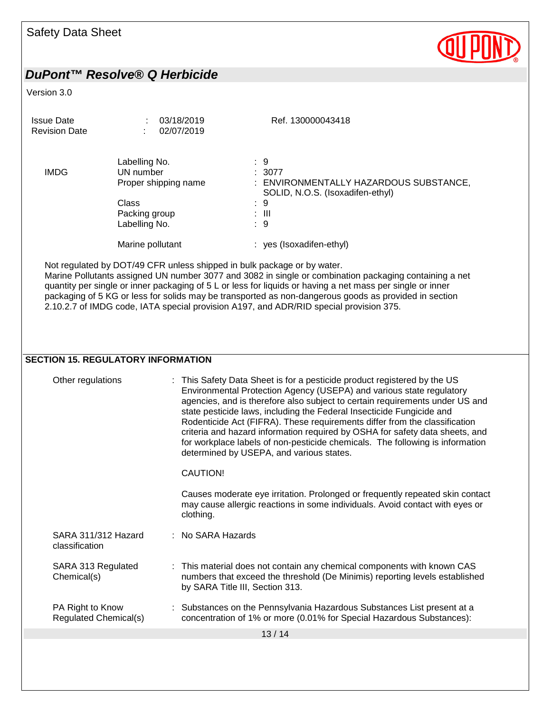| <b>Safety Data Sheet</b>                                       |                                                                                                      |                                 |                                                                                                                                                                                                                                                                                                                                                                                                                                                                                                                                                                                                      |
|----------------------------------------------------------------|------------------------------------------------------------------------------------------------------|---------------------------------|------------------------------------------------------------------------------------------------------------------------------------------------------------------------------------------------------------------------------------------------------------------------------------------------------------------------------------------------------------------------------------------------------------------------------------------------------------------------------------------------------------------------------------------------------------------------------------------------------|
| DuPont™ Resolve® Q Herbicide                                   |                                                                                                      |                                 |                                                                                                                                                                                                                                                                                                                                                                                                                                                                                                                                                                                                      |
| Version 3.0                                                    |                                                                                                      |                                 |                                                                                                                                                                                                                                                                                                                                                                                                                                                                                                                                                                                                      |
| <b>Issue Date</b><br><b>Revision Date</b>                      |                                                                                                      | 03/18/2019<br>02/07/2019        | Ref. 130000043418                                                                                                                                                                                                                                                                                                                                                                                                                                                                                                                                                                                    |
| <b>IMDG</b>                                                    | Labelling No.<br>UN number<br>Proper shipping name<br><b>Class</b><br>Packing group<br>Labelling No. |                                 | $\therefore$ 9<br>: 3077<br>: ENVIRONMENTALLY HAZARDOUS SUBSTANCE,<br>SOLID, N.O.S. (Isoxadifen-ethyl)<br>$\therefore$ 9<br>$\therefore$ III<br>: 9                                                                                                                                                                                                                                                                                                                                                                                                                                                  |
|                                                                | Marine pollutant                                                                                     |                                 | : yes (Isoxadifen-ethyl)                                                                                                                                                                                                                                                                                                                                                                                                                                                                                                                                                                             |
|                                                                |                                                                                                      |                                 | Marine Pollutants assigned UN number 3077 and 3082 in single or combination packaging containing a net<br>quantity per single or inner packaging of 5 L or less for liquids or having a net mass per single or inner<br>packaging of 5 KG or less for solids may be transported as non-dangerous goods as provided in section<br>2.10.2.7 of IMDG code, IATA special provision A197, and ADR/RID special provision 375.                                                                                                                                                                              |
| <b>SECTION 15. REGULATORY INFORMATION</b><br>Other regulations |                                                                                                      | CAUTION!                        | : This Safety Data Sheet is for a pesticide product registered by the US<br>Environmental Protection Agency (USEPA) and various state regulatory<br>agencies, and is therefore also subject to certain requirements under US and<br>state pesticide laws, including the Federal Insecticide Fungicide and<br>Rodenticide Act (FIFRA). These requirements differ from the classification<br>criteria and hazard information required by OSHA for safety data sheets, and<br>for workplace labels of non-pesticide chemicals. The following is information<br>determined by USEPA, and various states. |
|                                                                |                                                                                                      | clothing.                       | Causes moderate eye irritation. Prolonged or frequently repeated skin contact<br>may cause allergic reactions in some individuals. Avoid contact with eyes or                                                                                                                                                                                                                                                                                                                                                                                                                                        |
| SARA 311/312 Hazard<br>classification                          |                                                                                                      | : No SARA Hazards               |                                                                                                                                                                                                                                                                                                                                                                                                                                                                                                                                                                                                      |
| SARA 313 Regulated<br>Chemical(s)                              |                                                                                                      | by SARA Title III, Section 313. | : This material does not contain any chemical components with known CAS<br>numbers that exceed the threshold (De Minimis) reporting levels established                                                                                                                                                                                                                                                                                                                                                                                                                                               |
| PA Right to Know<br>Regulated Chemical(s)                      |                                                                                                      |                                 | Substances on the Pennsylvania Hazardous Substances List present at a<br>concentration of 1% or more (0.01% for Special Hazardous Substances):                                                                                                                                                                                                                                                                                                                                                                                                                                                       |
|                                                                |                                                                                                      |                                 | 13/14                                                                                                                                                                                                                                                                                                                                                                                                                                                                                                                                                                                                |